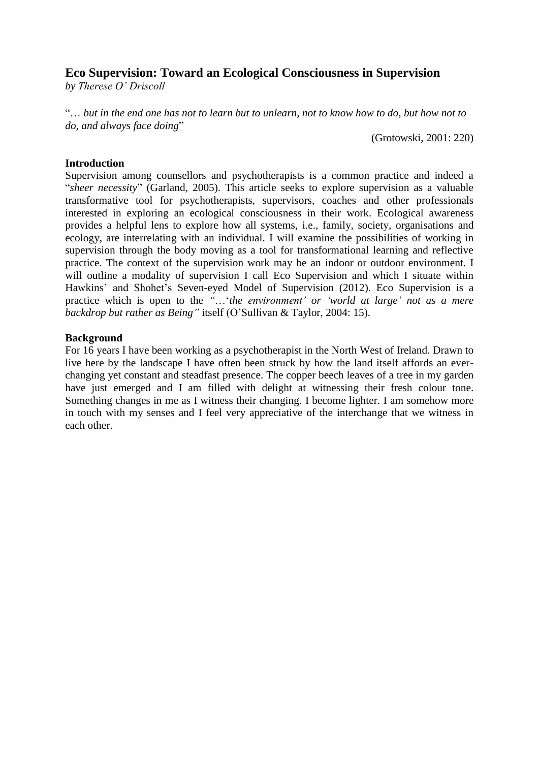# **Eco Supervision: Toward an Ecological Consciousness in Supervision**

*by Therese O' Driscoll*

"… *but in the end one has not to learn but to unlearn, not to know how to do, but how not to do, and always face doing*"

(Grotowski, 2001: 220)

### **Introduction**

Supervision among counsellors and psychotherapists is a common practice and indeed a "*sheer necessity*" (Garland, 2005). This article seeks to explore supervision as a valuable transformative tool for psychotherapists, supervisors, coaches and other professionals interested in exploring an ecological consciousness in their work. Ecological awareness provides a helpful lens to explore how all systems, i.e., family, society, organisations and ecology, are interrelating with an individual. I will examine the possibilities of working in supervision through the body moving as a tool for transformational learning and reflective practice. The context of the supervision work may be an indoor or outdoor environment. I will outline a modality of supervision I call Eco Supervision and which I situate within Hawkins' and Shohet's Seven-eyed Model of Supervision (2012). Eco Supervision is a practice which is open to the *"*…'*the environment' or 'world at large' not as a mere backdrop but rather as Being"* itself (O'Sullivan & Taylor, 2004: 15).

### **Background**

For 16 years I have been working as a psychotherapist in the North West of Ireland. Drawn to live here by the landscape I have often been struck by how the land itself affords an everchanging yet constant and steadfast presence. The copper beech leaves of a tree in my garden have just emerged and I am filled with delight at witnessing their fresh colour tone. Something changes in me as I witness their changing. I become lighter. I am somehow more in touch with my senses and I feel very appreciative of the interchange that we witness in each other.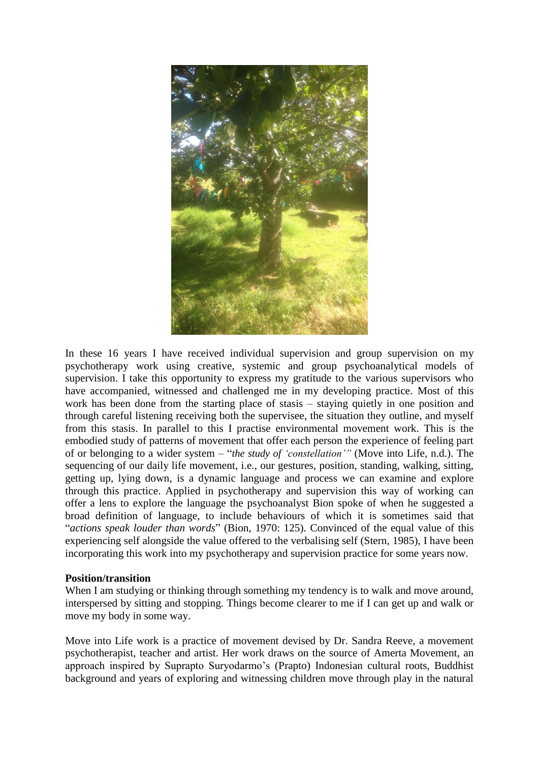

In these 16 years I have received individual supervision and group supervision on my psychotherapy work using creative, systemic and group psychoanalytical models of supervision. I take this opportunity to express my gratitude to the various supervisors who have accompanied, witnessed and challenged me in my developing practice. Most of this work has been done from the starting place of stasis – staying quietly in one position and through careful listening receiving both the supervisee, the situation they outline, and myself from this stasis. In parallel to this I practise environmental movement work. This is the embodied study of patterns of movement that offer each person the experience of feeling part of or belonging to a wider system – "*the study of 'constellation'"* (Move into Life, n.d.). The sequencing of our daily life movement, i.e., our gestures, position, standing, walking, sitting, getting up, lying down, is a dynamic language and process we can examine and explore through this practice. Applied in psychotherapy and supervision this way of working can offer a lens to explore the language the psychoanalyst Bion spoke of when he suggested a broad definition of language, to include behaviours of which it is sometimes said that "*actions speak louder than words*" (Bion, 1970: 125). Convinced of the equal value of this experiencing self alongside the value offered to the verbalising self (Stern, 1985), I have been incorporating this work into my psychotherapy and supervision practice for some years now.

### **Position/transition**

When I am studying or thinking through something my tendency is to walk and move around, interspersed by sitting and stopping. Things become clearer to me if I can get up and walk or move my body in some way.

Move into Life work is a practice of movement devised by Dr. Sandra Reeve, a movement psychotherapist, teacher and artist. Her work draws on the source of Amerta Movement, an approach inspired by Suprapto Suryodarmo's (Prapto) Indonesian cultural roots, Buddhist background and years of exploring and witnessing children move through play in the natural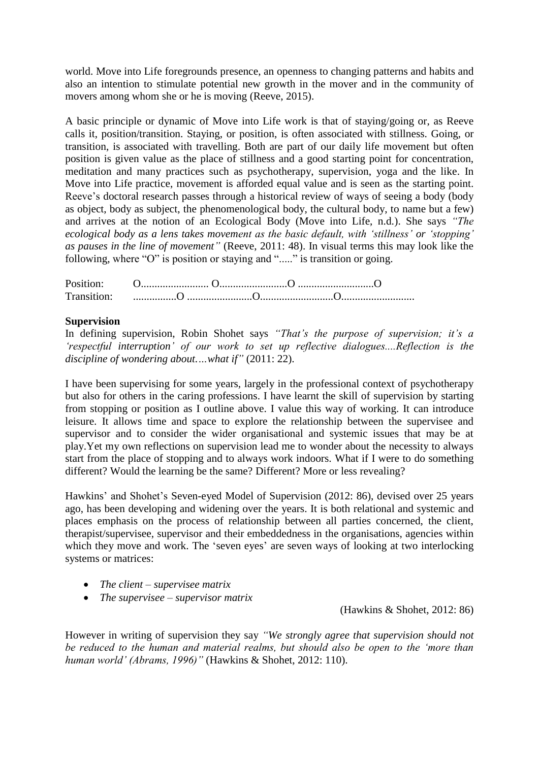world. Move into Life foregrounds presence, an openness to changing patterns and habits and also an intention to stimulate potential new growth in the mover and in the community of movers among whom she or he is moving (Reeve, 2015).

A basic principle or dynamic of Move into Life work is that of staying/going or, as Reeve calls it, position/transition. Staying, or position, is often associated with stillness. Going, or transition, is associated with travelling. Both are part of our daily life movement but often position is given value as the place of stillness and a good starting point for concentration, meditation and many practices such as psychotherapy, supervision, yoga and the like. In Move into Life practice, movement is afforded equal value and is seen as the starting point. Reeve's doctoral research passes through a historical review of ways of seeing a body (body as object, body as subject, the phenomenological body, the cultural body, to name but a few) and arrives at the notion of an Ecological Body (Move into Life, n.d.). She says *"The ecological body as a lens takes movement as the basic default, with 'stillness' or 'stopping' as pauses in the line of movement"* (Reeve, 2011: 48). In visual terms this may look like the following, where "O" is position or staying and "....." is transition or going.

| Position:               |  |  |
|-------------------------|--|--|
| Transition <sup>.</sup> |  |  |

### **Supervision**

In defining supervision, Robin Shohet says *"That's the purpose of supervision; it's a 'respectful interruption' of our work to set up reflective dialogues....Reflection is the discipline of wondering about.…what if"* (2011: 22).

I have been supervising for some years, largely in the professional context of psychotherapy but also for others in the caring professions. I have learnt the skill of supervision by starting from stopping or position as I outline above. I value this way of working. It can introduce leisure. It allows time and space to explore the relationship between the supervisee and supervisor and to consider the wider organisational and systemic issues that may be at play.Yet my own reflections on supervision lead me to wonder about the necessity to always start from the place of stopping and to always work indoors. What if I were to do something different? Would the learning be the same? Different? More or less revealing?

Hawkins' and Shohet's Seven-eyed Model of Supervision (2012: 86), devised over 25 years ago, has been developing and widening over the years. It is both relational and systemic and places emphasis on the process of relationship between all parties concerned, the client, therapist/supervisee, supervisor and their embeddedness in the organisations, agencies within which they move and work. The 'seven eyes' are seven ways of looking at two interlocking systems or matrices:

- *The client – supervisee matrix*
- *The supervisee – supervisor matrix*

(Hawkins & Shohet, 2012: 86)

However in writing of supervision they say *"We strongly agree that supervision should not be reduced to the human and material realms, but should also be open to the 'more than human world' (Abrams, 1996)"* (Hawkins & Shohet, 2012: 110).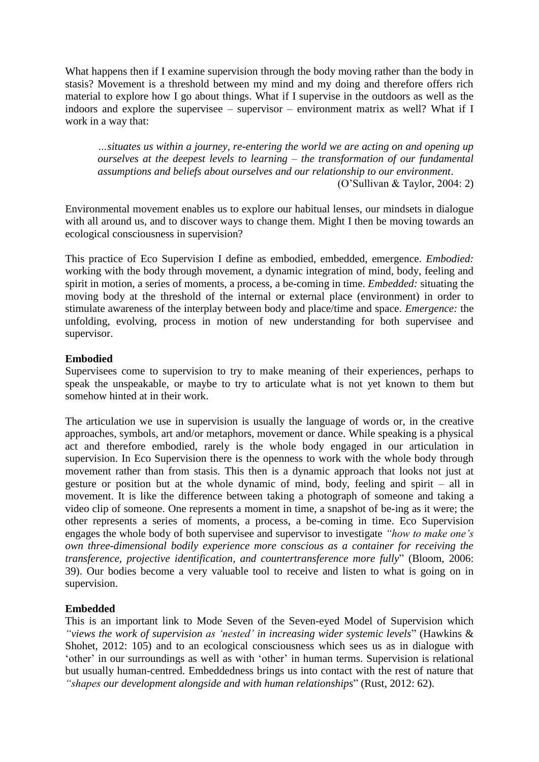What happens then if I examine supervision through the body moving rather than the body in stasis? Movement is a threshold between my mind and my doing and therefore offers rich material to explore how I go about things. What if I supervise in the outdoors as well as the indoors and explore the supervisee – supervisor – environment matrix as well? What if I work in a way that:

*…situates us within a journey, re-entering the world we are acting on and opening up ourselves at the deepest levels to learning – the transformation of our fundamental assumptions and beliefs about ourselves and our relationship to our environment*.

(O'Sullivan & Taylor, 2004: 2)

Environmental movement enables us to explore our habitual lenses, our mindsets in dialogue with all around us, and to discover ways to change them. Might I then be moving towards an ecological consciousness in supervision?

This practice of Eco Supervision I define as embodied, embedded, emergence. *Embodied:* working with the body through movement, a dynamic integration of mind, body, feeling and spirit in motion, a series of moments, a process, a be-coming in time. *Embedded:* situating the moving body at the threshold of the internal or external place (environment) in order to stimulate awareness of the interplay between body and place/time and space. *Emergence:* the unfolding, evolving, process in motion of new understanding for both supervisee and supervisor.

### **Embodied**

Supervisees come to supervision to try to make meaning of their experiences, perhaps to speak the unspeakable, or maybe to try to articulate what is not yet known to them but somehow hinted at in their work.

The articulation we use in supervision is usually the language of words or, in the creative approaches, symbols, art and/or metaphors, movement or dance. While speaking is a physical act and therefore embodied, rarely is the whole body engaged in our articulation in supervision. In Eco Supervision there is the openness to work with the whole body through movement rather than from stasis. This then is a dynamic approach that looks not just at gesture or position but at the whole dynamic of mind, body, feeling and spirit – all in movement. It is like the difference between taking a photograph of someone and taking a video clip of someone. One represents a moment in time, a snapshot of be-ing as it were; the other represents a series of moments, a process, a be-coming in time. Eco Supervision engages the whole body of both supervisee and supervisor to investigate *"how to make one's own three-dimensional bodily experience more conscious as a container for receiving the transference, projective identification, and countertransference more fully*" (Bloom, 2006: 39). Our bodies become a very valuable tool to receive and listen to what is going on in supervision.

## **Embedded**

This is an important link to Mode Seven of the Seven-eyed Model of Supervision which *"views the work of supervision as 'nested' in increasing wider systemic levels*" (Hawkins & Shohet, 2012: 105) and to an ecological consciousness which sees us as in dialogue with 'other' in our surroundings as well as with 'other' in human terms. Supervision is relational but usually human-centred. Embeddedness brings us into contact with the rest of nature that *"shapes our development alongside and with human relationships*" (Rust, 2012: 62).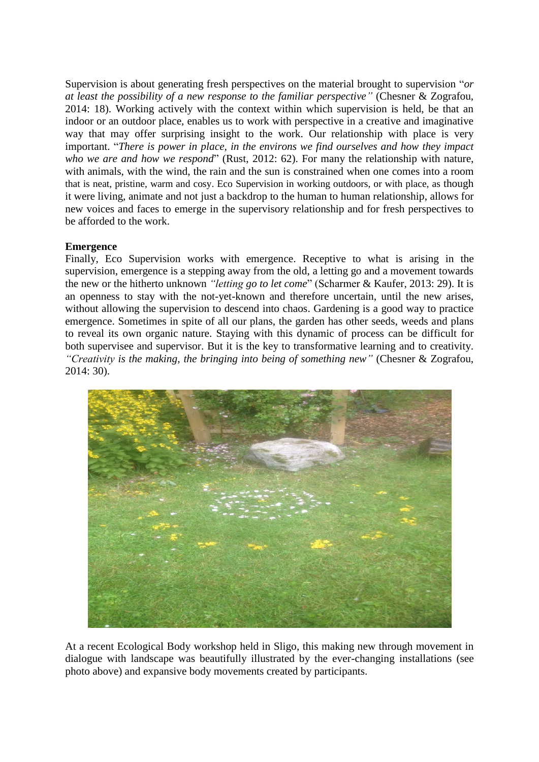Supervision is about generating fresh perspectives on the material brought to supervision "*or at least the possibility of a new response to the familiar perspective"* (Chesner & Zografou, 2014: 18). Working actively with the context within which supervision is held, be that an indoor or an outdoor place, enables us to work with perspective in a creative and imaginative way that may offer surprising insight to the work. Our relationship with place is very important. "*There is power in place, in the environs we find ourselves and how they impact who we are and how we respond*" (Rust, 2012: 62). For many the relationship with nature, with animals, with the wind, the rain and the sun is constrained when one comes into a room that is neat, pristine, warm and cosy. Eco Supervision in working outdoors, or with place, as though it were living, animate and not just a backdrop to the human to human relationship, allows for new voices and faces to emerge in the supervisory relationship and for fresh perspectives to be afforded to the work.

## **Emergence**

Finally, Eco Supervision works with emergence. Receptive to what is arising in the supervision, emergence is a stepping away from the old, a letting go and a movement towards the new or the hitherto unknown *"letting go to let come*" (Scharmer & Kaufer, 2013: 29). It is an openness to stay with the not-yet-known and therefore uncertain, until the new arises, without allowing the supervision to descend into chaos. Gardening is a good way to practice emergence. Sometimes in spite of all our plans, the garden has other seeds, weeds and plans to reveal its own organic nature. Staying with this dynamic of process can be difficult for both supervisee and supervisor. But it is the key to transformative learning and to creativity. *"Creativity is the making, the bringing into being of something new"* (Chesner & Zografou, 2014: 30).



At a recent Ecological Body workshop held in Sligo, this making new through movement in dialogue with landscape was beautifully illustrated by the ever-changing installations (see photo above) and expansive body movements created by participants.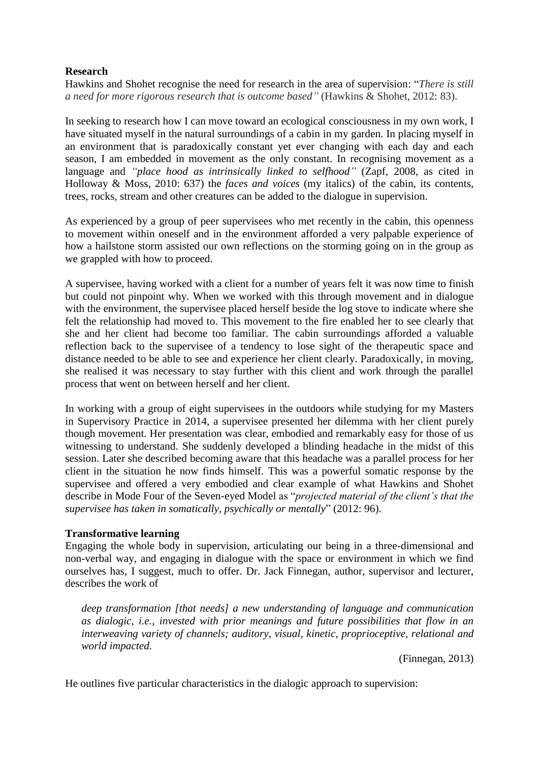### **Research**

Hawkins and Shohet recognise the need for research in the area of supervision: "*There is still a need for more rigorous research that is outcome based"* (Hawkins & Shohet, 2012: 83).

In seeking to research how I can move toward an ecological consciousness in my own work, I have situated myself in the natural surroundings of a cabin in my garden. In placing myself in an environment that is paradoxically constant yet ever changing with each day and each season, I am embedded in movement as the only constant. In recognising movement as a language and *"place hood as intrinsically linked to selfhood"* (Zapf, 2008, as cited in Holloway & Moss, 2010: 637) the *faces and voices* (my italics) of the cabin, its contents, trees, rocks, stream and other creatures can be added to the dialogue in supervision.

As experienced by a group of peer supervisees who met recently in the cabin, this openness to movement within oneself and in the environment afforded a very palpable experience of how a hailstone storm assisted our own reflections on the storming going on in the group as we grappled with how to proceed.

A supervisee, having worked with a client for a number of years felt it was now time to finish but could not pinpoint why. When we worked with this through movement and in dialogue with the environment, the supervisee placed herself beside the log stove to indicate where she felt the relationship had moved to. This movement to the fire enabled her to see clearly that she and her client had become too familiar. The cabin surroundings afforded a valuable reflection back to the supervisee of a tendency to lose sight of the therapeutic space and distance needed to be able to see and experience her client clearly. Paradoxically, in moving, she realised it was necessary to stay further with this client and work through the parallel process that went on between herself and her client.

In working with a group of eight supervisees in the outdoors while studying for my Masters in Supervisory Practice in 2014, a supervisee presented her dilemma with her client purely though movement. Her presentation was clear, embodied and remarkably easy for those of us witnessing to understand. She suddenly developed a blinding headache in the midst of this session. Later she described becoming aware that this headache was a parallel process for her client in the situation he now finds himself. This was a powerful somatic response by the supervisee and offered a very embodied and clear example of what Hawkins and Shohet describe in Mode Four of the Seven-eyed Model as "*projected material of the client's that the supervisee has taken in somatically, psychically or mentally*" (2012: 96).

### **Transformative learning**

Engaging the whole body in supervision, articulating our being in a three-dimensional and non-verbal way, and engaging in dialogue with the space or environment in which we find ourselves has, I suggest, much to offer. Dr. Jack Finnegan, author, supervisor and lecturer, describes the work of

*deep transformation [that needs] a new understanding of language and communication as dialogic, i.e., invested with prior meanings and future possibilities that flow in an interweaving variety of channels; auditory, visual, kinetic, proprioceptive, relational and world impacted.*

(Finnegan, 2013)

He outlines five particular characteristics in the dialogic approach to supervision: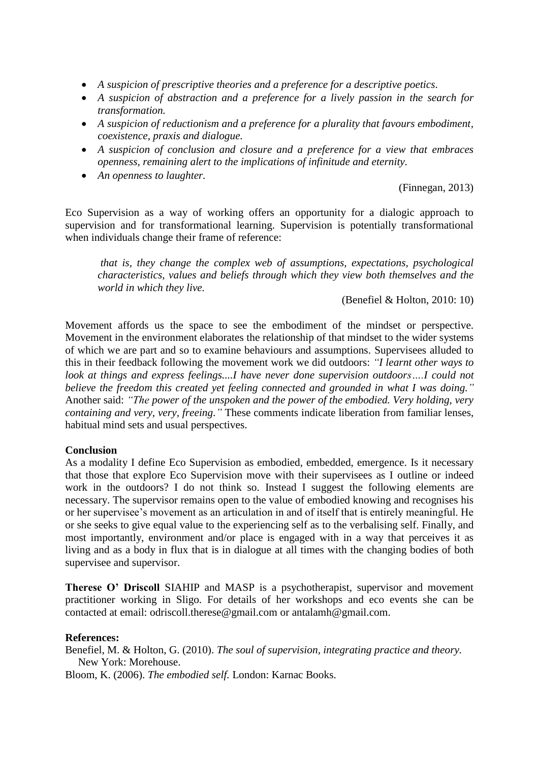- *A suspicion of prescriptive theories and a preference for a descriptive poetics.*
- *A suspicion of abstraction and a preference for a lively passion in the search for transformation.*
- *A suspicion of reductionism and a preference for a plurality that favours embodiment, coexistence, praxis and dialogue.*
- *A suspicion of conclusion and closure and a preference for a view that embraces openness, remaining alert to the implications of infinitude and eternity.*
- *An openness to laughter.*

(Finnegan, 2013)

Eco Supervision as a way of working offers an opportunity for a dialogic approach to supervision and for transformational learning. Supervision is potentially transformational when individuals change their frame of reference:

*that is, they change the complex web of assumptions, expectations, psychological characteristics, values and beliefs through which they view both themselves and the world in which they live.*

(Benefiel & Holton, 2010: 10)

Movement affords us the space to see the embodiment of the mindset or perspective. Movement in the environment elaborates the relationship of that mindset to the wider systems of which we are part and so to examine behaviours and assumptions. Supervisees alluded to this in their feedback following the movement work we did outdoors: *"I learnt other ways to look at things and express feelings....I have never done supervision outdoors….I could not believe the freedom this created yet feeling connected and grounded in what I was doing."* Another said: *"The power of the unspoken and the power of the embodied. Very holding, very containing and very, very, freeing."* These comments indicate liberation from familiar lenses, habitual mind sets and usual perspectives.

### **Conclusion**

As a modality I define Eco Supervision as embodied, embedded, emergence. Is it necessary that those that explore Eco Supervision move with their supervisees as I outline or indeed work in the outdoors? I do not think so. Instead I suggest the following elements are necessary. The supervisor remains open to the value of embodied knowing and recognises his or her supervisee's movement as an articulation in and of itself that is entirely meaningful. He or she seeks to give equal value to the experiencing self as to the verbalising self. Finally, and most importantly, environment and/or place is engaged with in a way that perceives it as living and as a body in flux that is in dialogue at all times with the changing bodies of both supervisee and supervisor.

**Therese O' Driscoll** SIAHIP and MASP is a psychotherapist, supervisor and movement practitioner working in Sligo. For details of her workshops and eco events she can be contacted at email: [odriscoll.therese@gmail.com](mailto:odriscoll.therese@gmail.com) or antalamh@gmail.com.

#### **References:**

Benefiel, M. & Holton, G. (2010). *The soul of supervision, integrating practice and theory.* New York: Morehouse.

Bloom, K. (2006). *The embodied self.* London: Karnac Books.